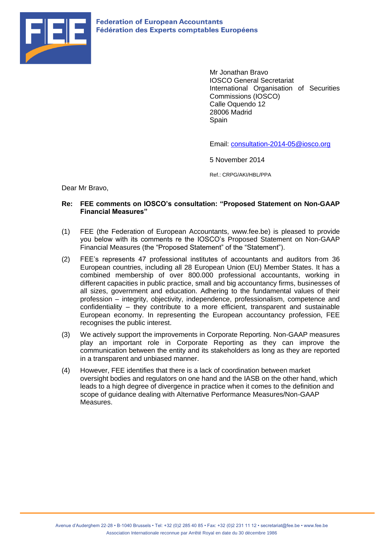

Mr Jonathan Bravo IOSCO General Secretariat International Organisation of Securities Commissions (IOSCO) Calle Oquendo 12 28006 Madrid **Spain** 

Email: [consultation-2014-05@iosco.org](mailto:consultation-2014-05@iosco.org)

5 November 2014

Ref.: CRPG/AKI/HBL/PPA

Dear Mr Bravo,

## **Re: FEE comments on IOSCO's consultation: "Proposed Statement on Non-GAAP Financial Measures"**

- (1) FEE (the Federation of European Accountants, www.fee.be) is pleased to provide you below with its comments re the IOSCO's Proposed Statement on Non-GAAP Financial Measures (the "Proposed Statement" of the "Statement").
- (2) FEE's represents 47 professional institutes of accountants and auditors from 36 European countries, including all 28 European Union (EU) Member States. It has a combined membership of over 800.000 professional accountants, working in different capacities in public practice, small and big accountancy firms, businesses of all sizes, government and education. Adhering to the fundamental values of their profession – integrity, objectivity, independence, professionalism, competence and confidentiality – they contribute to a more efficient, transparent and sustainable European economy. In representing the European accountancy profession, FEE recognises the public interest.
- (3) We actively support the improvements in Corporate Reporting. Non-GAAP measures play an important role in Corporate Reporting as they can improve the communication between the entity and its stakeholders as long as they are reported in a transparent and unbiased manner.
- (4) However, FEE identifies that there is a lack of coordination between market oversight bodies and regulators on one hand and the IASB on the other hand, which leads to a high degree of divergence in practice when it comes to the definition and scope of guidance dealing with Alternative Performance Measures/Non-GAAP Measures.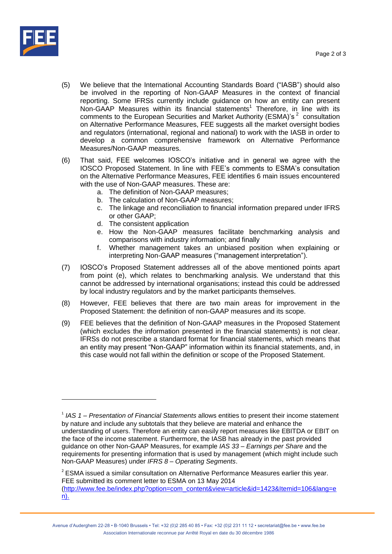

- (5) We believe that the International Accounting Standards Board ("IASB") should also be involved in the reporting of Non-GAAP Measures in the context of financial reporting. Some IFRSs currently include guidance on how an entity can present Non-GAAP Measures within its financial statements<sup>1</sup> Therefore, in line with its comments to the European Securities and Market Authority (ESMA)'s<sup>2</sup> consultation on Alternative Performance Measures, FEE suggests all the market oversight bodies and regulators (international, regional and national) to work with the IASB in order to develop a common comprehensive framework on Alternative Performance Measures/Non-GAAP measures.
- (6) That said, FEE welcomes IOSCO's initiative and in general we agree with the IOSCO Proposed Statement. In line with FEE's comments to ESMA's consultation on the Alternative Performance Measures, FEE identifies 6 main issues encountered with the use of Non-GAAP measures. These are:
	- a. The definition of Non-GAAP measures;
	- b. The calculation of Non-GAAP measures;
	- c. The linkage and reconciliation to financial information prepared under IFRS or other GAAP;
	- d. The consistent application
	- e. How the Non-GAAP measures facilitate benchmarking analysis and comparisons with industry information; and finally
	- f. Whether management takes an unbiased position when explaining or interpreting Non-GAAP measures ("management interpretation").
- (7) IOSCO's Proposed Statement addresses all of the above mentioned points apart from point (e), which relates to benchmarking analysis. We understand that this cannot be addressed by international organisations; instead this could be addressed by local industry regulators and by the market participants themselves.
- (8) However, FEE believes that there are two main areas for improvement in the Proposed Statement: the definition of non-GAAP measures and its scope.
- (9) FEE believes that the definition of Non-GAAP measures in the Proposed Statement (which excludes the information presented in the financial statements) is not clear. IFRSs do not prescribe a standard format for financial statements, which means that an entity may present "Non-GAAP" information within its financial statements, and, in this case would not fall within the definition or scope of the Proposed Statement.

<sup>&</sup>lt;sup>1</sup> IAS 1 – *Presentation of Financial Statements* allows entities to present their income statement by nature and include any subtotals that they believe are material and enhance the understanding of users. Therefore an entity can easily report measures like EBITDA or EBIT on the face of the income statement. Furthermore, the IASB has already in the past provided guidance on other Non-GAAP Measures, for example *IAS 33 – Earnings per Share* and the requirements for presenting information that is used by management (which might include such Non-GAAP Measures) under *IFRS 8 – Operating Segments*.

 $2$  ESMA issued a similar consultation on Alternative Performance Measures earlier this year. FEE submitted its comment letter to ESMA on 13 May 2014 [\(http://www.fee.be/index.php?option=com\\_content&view=article&id=1423&Itemid=106&lang=e](http://www.fee.be/index.php?option=com_content&view=article&id=1423&Itemid=106&lang=en) [n\)](http://www.fee.be/index.php?option=com_content&view=article&id=1423&Itemid=106&lang=en).

Avenue d'Auderghem 22-28 • B-1040 Brussels • Tel: +32 (0)2 285 40 85 • Fax: +32 (0)2 231 11 12 • secretariat@fee.be • www.fee.be Association Internationale reconnue par Arrêté Royal en date du 30 décembre 1986